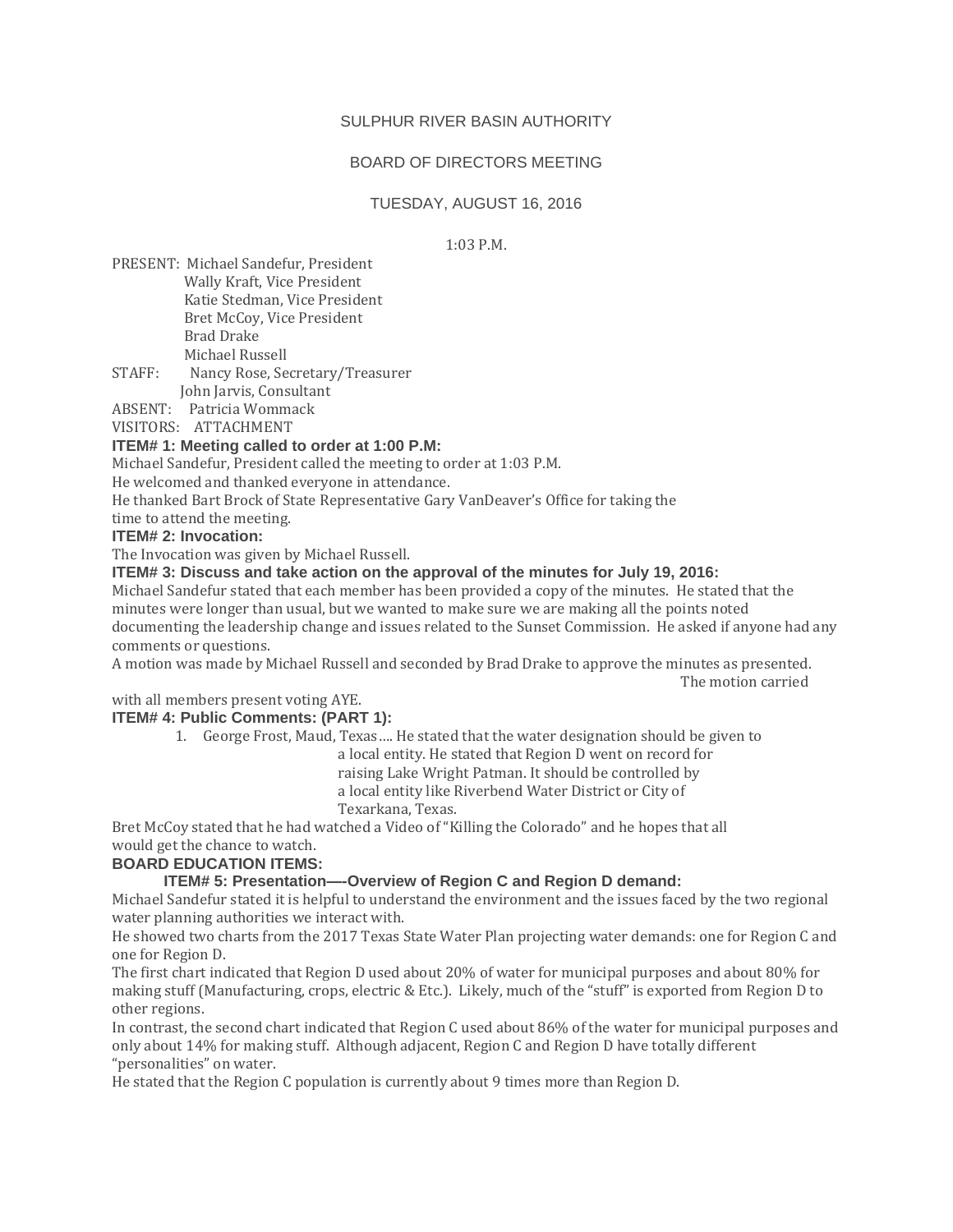## SULPHUR RIVER BASIN AUTHORITY

# BOARD OF DIRECTORS MEETING

## TUESDAY, AUGUST 16, 2016

1:03 P.M.

PRESENT: Michael Sandefur, President Wally Kraft, Vice President Katie Stedman, Vice President Bret McCoy, Vice President Brad Drake Michael Russell

STAFF: Nancy Rose, Secretary/Treasurer John Jarvis, Consultant

ABSENT: Patricia Wommack

## VISITORS: ATTACHMENT

### **ITEM# 1: Meeting called to order at 1:00 P.M:**

Michael Sandefur, President called the meeting to order at 1:03 P.M.

He welcomed and thanked everyone in attendance.

He thanked Bart Brock of State Representative Gary VanDeaver's Office for taking the

time to attend the meeting.

#### **ITEM# 2: Invocation:**

The Invocation was given by Michael Russell.

# **ITEM# 3: Discuss and take action on the approval of the minutes for July 19, 2016:**

Michael Sandefur stated that each member has been provided a copy of the minutes. He stated that the minutes were longer than usual, but we wanted to make sure we are making all the points noted documenting the leadership change and issues related to the Sunset Commission. He asked if anyone had any comments or questions.

A motion was made by Michael Russell and seconded by Brad Drake to approve the minutes as presented. The motion carried

with all members present voting AYE.

#### **ITEM# 4: Public Comments: (PART 1):**

1. George Frost, Maud, Texas…. He stated that the water designation should be given to

 a local entity. He stated that Region D went on record for raising Lake Wright Patman. It should be controlled by

a local entity like Riverbend Water District or City of

Texarkana, Texas.

Bret McCoy stated that he had watched a Video of "Killing the Colorado" and he hopes that all would get the chance to watch.

## **BOARD EDUCATION ITEMS:**

# **ITEM# 5: Presentation—-Overview of Region C and Region D demand:**

Michael Sandefur stated it is helpful to understand the environment and the issues faced by the two regional water planning authorities we interact with.

He showed two charts from the 2017 Texas State Water Plan projecting water demands: one for Region C and one for Region D.

The first chart indicated that Region D used about 20% of water for municipal purposes and about 80% for making stuff (Manufacturing, crops, electric & Etc.). Likely, much of the "stuff" is exported from Region D to other regions.

In contrast, the second chart indicated that Region C used about 86% of the water for municipal purposes and only about 14% for making stuff. Although adjacent, Region C and Region D have totally different "personalities" on water.

He stated that the Region C population is currently about 9 times more than Region D.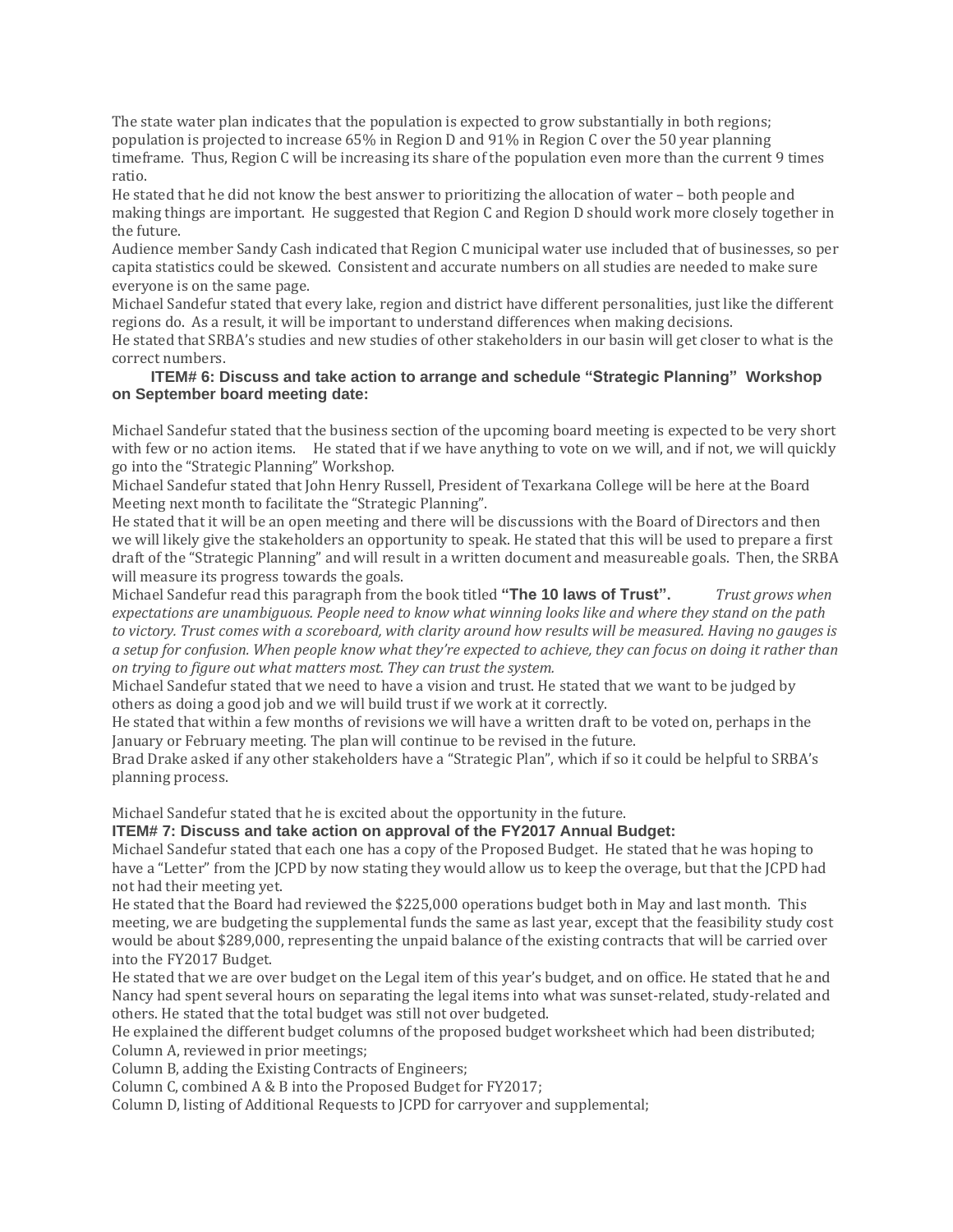The state water plan indicates that the population is expected to grow substantially in both regions; population is projected to increase 65% in Region D and 91% in Region C over the 50 year planning timeframe. Thus, Region C will be increasing its share of the population even more than the current 9 times ratio.

He stated that he did not know the best answer to prioritizing the allocation of water – both people and making things are important. He suggested that Region C and Region D should work more closely together in the future.

Audience member Sandy Cash indicated that Region C municipal water use included that of businesses, so per capita statistics could be skewed. Consistent and accurate numbers on all studies are needed to make sure everyone is on the same page.

Michael Sandefur stated that every lake, region and district have different personalities, just like the different regions do. As a result, it will be important to understand differences when making decisions.

He stated that SRBA's studies and new studies of other stakeholders in our basin will get closer to what is the correct numbers.

#### **ITEM# 6: Discuss and take action to arrange and schedule "Strategic Planning" Workshop on September board meeting date:**

Michael Sandefur stated that the business section of the upcoming board meeting is expected to be very short with few or no action items. He stated that if we have anything to vote on we will, and if not, we will quickly go into the "Strategic Planning" Workshop.

Michael Sandefur stated that John Henry Russell, President of Texarkana College will be here at the Board Meeting next month to facilitate the "Strategic Planning".

He stated that it will be an open meeting and there will be discussions with the Board of Directors and then we will likely give the stakeholders an opportunity to speak. He stated that this will be used to prepare a first draft of the "Strategic Planning" and will result in a written document and measureable goals. Then, the SRBA will measure its progress towards the goals.

Michael Sandefur read this paragraph from the book titled **"The 10 laws of Trust".** *Trust grows when* expectations are unambiauous. People need to know what winning looks like and where they stand on the path to victory. Trust comes with a scoreboard, with clarity around how results will be measured. Having no gauges is a setup for confusion. When people know what they're expected to achieve, they can focus on doing it rather than *on trying to figure out what matters most. They can trust the system.*

Michael Sandefur stated that we need to have a vision and trust. He stated that we want to be judged by others as doing a good job and we will build trust if we work at it correctly.

He stated that within a few months of revisions we will have a written draft to be voted on, perhaps in the January or February meeting. The plan will continue to be revised in the future.

Brad Drake asked if any other stakeholders have a "Strategic Plan", which if so it could be helpful to SRBA's planning process.

Michael Sandefur stated that he is excited about the opportunity in the future.

# **ITEM# 7: Discuss and take action on approval of the FY2017 Annual Budget:**

Michael Sandefur stated that each one has a copy of the Proposed Budget. He stated that he was hoping to have a "Letter" from the JCPD by now stating they would allow us to keep the overage, but that the JCPD had not had their meeting yet.

He stated that the Board had reviewed the \$225,000 operations budget both in May and last month. This meeting, we are budgeting the supplemental funds the same as last year, except that the feasibility study cost would be about \$289,000, representing the unpaid balance of the existing contracts that will be carried over into the FY2017 Budget.

He stated that we are over budget on the Legal item of this year's budget, and on office. He stated that he and Nancy had spent several hours on separating the legal items into what was sunset-related, study-related and others. He stated that the total budget was still not over budgeted.

He explained the different budget columns of the proposed budget worksheet which had been distributed; Column A, reviewed in prior meetings;

Column B, adding the Existing Contracts of Engineers;

Column C, combined A & B into the Proposed Budget for FY2017;

Column D, listing of Additional Requests to JCPD for carryover and supplemental;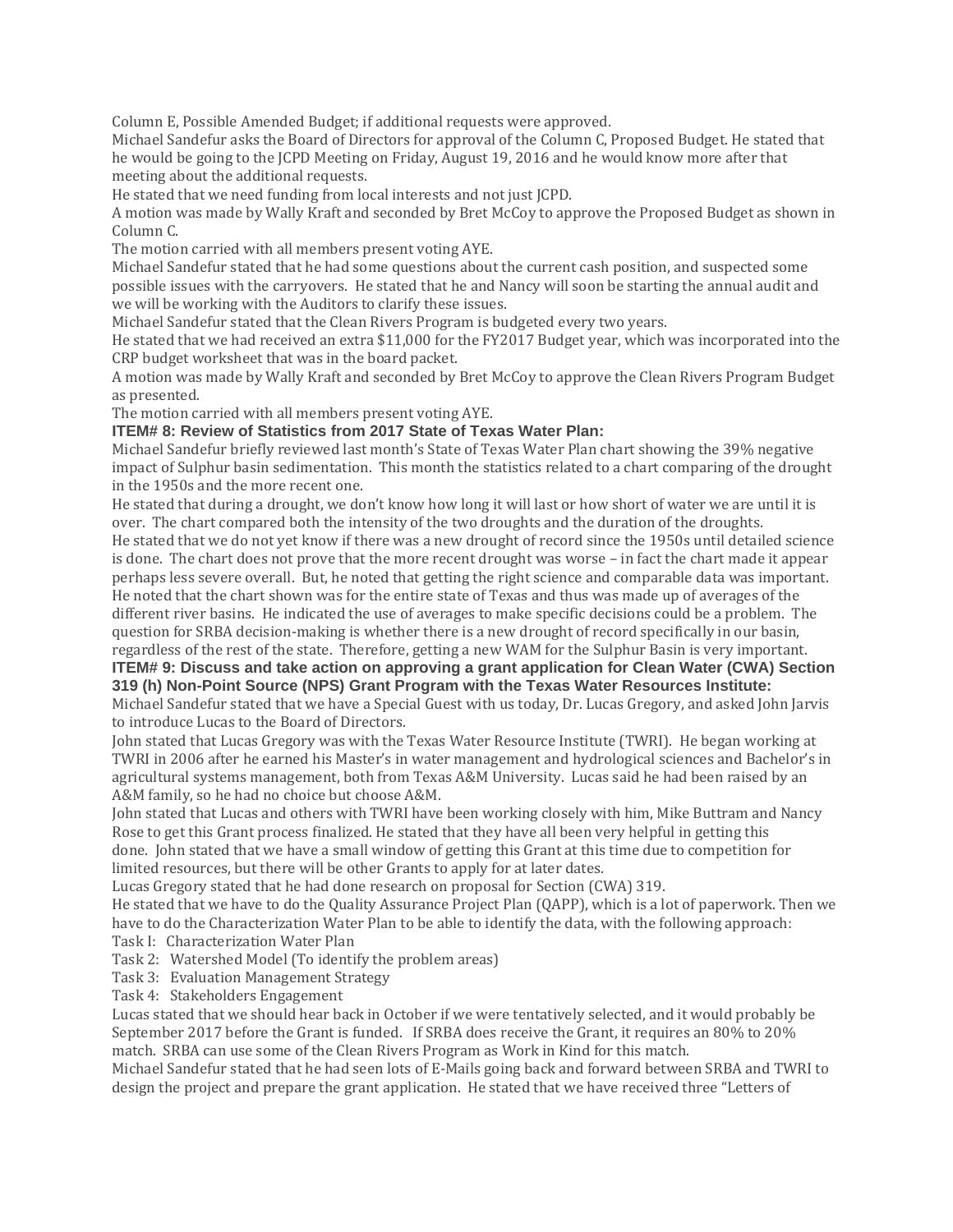Column E, Possible Amended Budget; if additional requests were approved.

Michael Sandefur asks the Board of Directors for approval of the Column C, Proposed Budget. He stated that he would be going to the JCPD Meeting on Friday, August 19, 2016 and he would know more after that meeting about the additional requests.

He stated that we need funding from local interests and not just JCPD.

A motion was made by Wally Kraft and seconded by Bret McCoy to approve the Proposed Budget as shown in Column C.

The motion carried with all members present voting AYE.

Michael Sandefur stated that he had some questions about the current cash position, and suspected some possible issues with the carryovers. He stated that he and Nancy will soon be starting the annual audit and we will be working with the Auditors to clarify these issues.

Michael Sandefur stated that the Clean Rivers Program is budgeted every two years.

He stated that we had received an extra \$11,000 for the FY2017 Budget year, which was incorporated into the CRP budget worksheet that was in the board packet.

A motion was made by Wally Kraft and seconded by Bret McCoy to approve the Clean Rivers Program Budget as presented.

The motion carried with all members present voting AYE.

**ITEM# 8: Review of Statistics from 2017 State of Texas Water Plan:**

Michael Sandefur briefly reviewed last month's State of Texas Water Plan chart showing the 39% negative impact of Sulphur basin sedimentation. This month the statistics related to a chart comparing of the drought in the 1950s and the more recent one.

He stated that during a drought, we don't know how long it will last or how short of water we are until it is over. The chart compared both the intensity of the two droughts and the duration of the droughts. He stated that we do not yet know if there was a new drought of record since the 1950s until detailed science is done. The chart does not prove that the more recent drought was worse – in fact the chart made it appear perhaps less severe overall. But, he noted that getting the right science and comparable data was important. He noted that the chart shown was for the entire state of Texas and thus was made up of averages of the different river basins. He indicated the use of averages to make specific decisions could be a problem. The question for SRBA decision-making is whether there is a new drought of record specifically in our basin, regardless of the rest of the state. Therefore, getting a new WAM for the Sulphur Basin is very important. **ITEM# 9: Discuss and take action on approving a grant application for Clean Water (CWA) Section**

# **319 (h) Non-Point Source (NPS) Grant Program with the Texas Water Resources Institute:**

Michael Sandefur stated that we have a Special Guest with us today, Dr. Lucas Gregory, and asked John Jarvis to introduce Lucas to the Board of Directors.

John stated that Lucas Gregory was with the Texas Water Resource Institute (TWRI). He began working at TWRI in 2006 after he earned his Master's in water management and hydrological sciences and Bachelor's in agricultural systems management, both from Texas A&M University. Lucas said he had been raised by an A&M family, so he had no choice but choose A&M.

John stated that Lucas and others with TWRI have been working closely with him, Mike Buttram and Nancy Rose to get this Grant process finalized. He stated that they have all been very helpful in getting this done. John stated that we have a small window of getting this Grant at this time due to competition for limited resources, but there will be other Grants to apply for at later dates.

Lucas Gregory stated that he had done research on proposal for Section (CWA) 319.

He stated that we have to do the Quality Assurance Project Plan (QAPP), which is a lot of paperwork. Then we have to do the Characterization Water Plan to be able to identify the data, with the following approach: Task I: Characterization Water Plan

Task 2: Watershed Model (To identify the problem areas)

Task 3: Evaluation Management Strategy

Task 4: Stakeholders Engagement

Lucas stated that we should hear back in October if we were tentatively selected, and it would probably be September 2017 before the Grant is funded. If SRBA does receive the Grant, it requires an 80% to 20% match. SRBA can use some of the Clean Rivers Program as Work in Kind for this match.

Michael Sandefur stated that he had seen lots of E-Mails going back and forward between SRBA and TWRI to design the project and prepare the grant application. He stated that we have received three "Letters of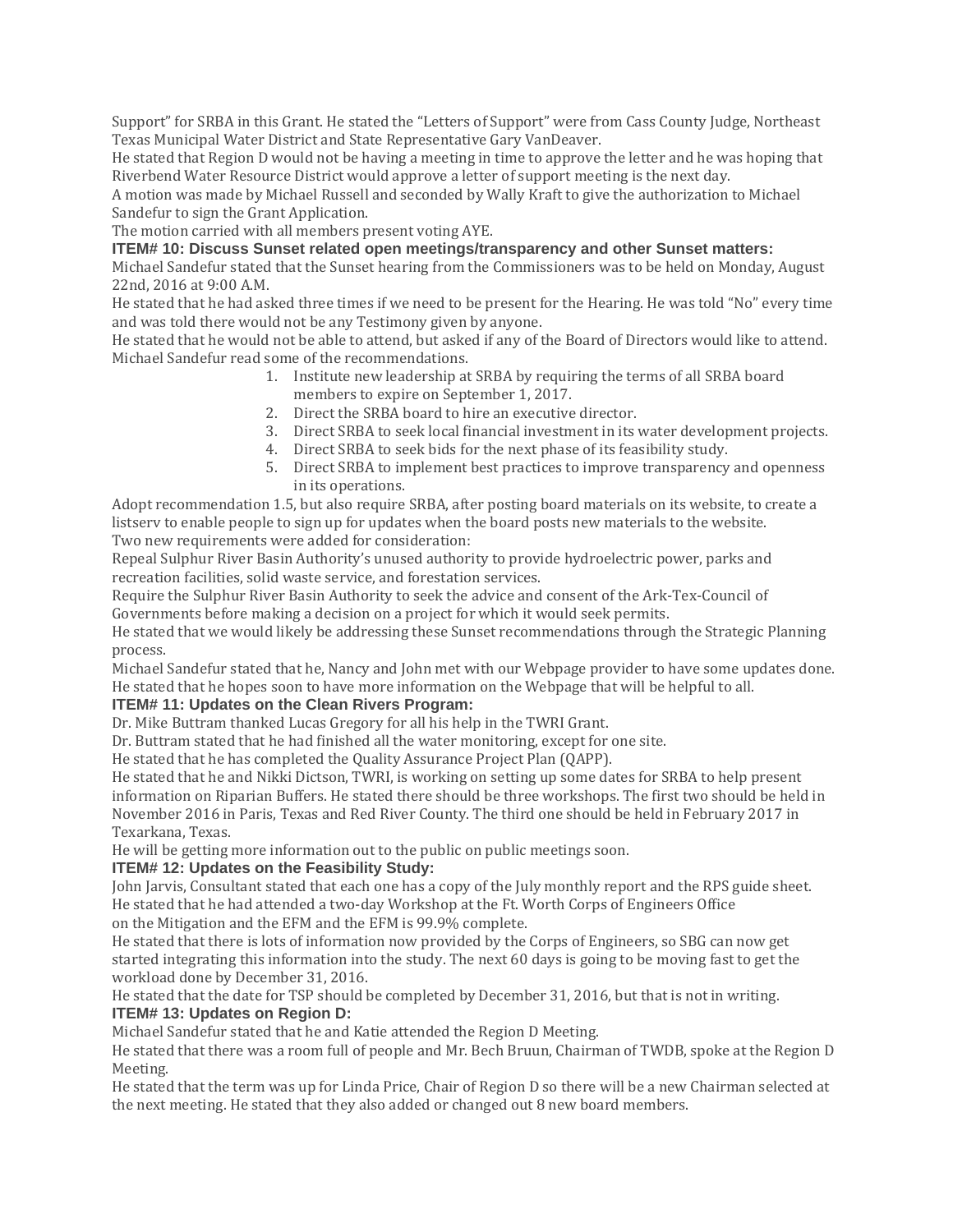Support" for SRBA in this Grant. He stated the "Letters of Support" were from Cass County Judge, Northeast Texas Municipal Water District and State Representative Gary VanDeaver.

He stated that Region D would not be having a meeting in time to approve the letter and he was hoping that Riverbend Water Resource District would approve a letter of support meeting is the next day.

A motion was made by Michael Russell and seconded by Wally Kraft to give the authorization to Michael Sandefur to sign the Grant Application.

The motion carried with all members present voting AYE.

**ITEM# 10: Discuss Sunset related open meetings/transparency and other Sunset matters:**

Michael Sandefur stated that the Sunset hearing from the Commissioners was to be held on Monday, August 22nd, 2016 at 9:00 A.M.

He stated that he had asked three times if we need to be present for the Hearing. He was told "No" every time and was told there would not be any Testimony given by anyone.

He stated that he would not be able to attend, but asked if any of the Board of Directors would like to attend. Michael Sandefur read some of the recommendations.

- 1. Institute new leadership at SRBA by requiring the terms of all SRBA board members to expire on September 1, 2017.
- 2. Direct the SRBA board to hire an executive director.
- 3. Direct SRBA to seek local financial investment in its water development projects.
- 4. Direct SRBA to seek bids for the next phase of its feasibility study.
- 5. Direct SRBA to implement best practices to improve transparency and openness in its operations.

Adopt recommendation 1.5, but also require SRBA, after posting board materials on its website, to create a listserv to enable people to sign up for updates when the board posts new materials to the website. Two new requirements were added for consideration:

Repeal Sulphur River Basin Authority's unused authority to provide hydroelectric power, parks and recreation facilities, solid waste service, and forestation services.

Require the Sulphur River Basin Authority to seek the advice and consent of the Ark-Tex-Council of Governments before making a decision on a project for which it would seek permits.

He stated that we would likely be addressing these Sunset recommendations through the Strategic Planning process.

Michael Sandefur stated that he, Nancy and John met with our Webpage provider to have some updates done. He stated that he hopes soon to have more information on the Webpage that will be helpful to all.

# **ITEM# 11: Updates on the Clean Rivers Program:**

Dr. Mike Buttram thanked Lucas Gregory for all his help in the TWRI Grant.

Dr. Buttram stated that he had finished all the water monitoring, except for one site.

He stated that he has completed the Quality Assurance Project Plan (QAPP).

He stated that he and Nikki Dictson, TWRI, is working on setting up some dates for SRBA to help present information on Riparian Buffers. He stated there should be three workshops. The first two should be held in November 2016 in Paris, Texas and Red River County. The third one should be held in February 2017 in Texarkana, Texas.

He will be getting more information out to the public on public meetings soon.

#### **ITEM# 12: Updates on the Feasibility Study:**

John Jarvis, Consultant stated that each one has a copy of the July monthly report and the RPS guide sheet. He stated that he had attended a two-day Workshop at the Ft. Worth Corps of Engineers Office on the Mitigation and the EFM and the EFM is 99.9% complete.

He stated that there is lots of information now provided by the Corps of Engineers, so SBG can now get started integrating this information into the study. The next 60 days is going to be moving fast to get the workload done by December 31, 2016.

He stated that the date for TSP should be completed by December 31, 2016, but that is not in writing. **ITEM# 13: Updates on Region D:**

Michael Sandefur stated that he and Katie attended the Region D Meeting.

He stated that there was a room full of people and Mr. Bech Bruun, Chairman of TWDB, spoke at the Region D Meeting.

He stated that the term was up for Linda Price, Chair of Region D so there will be a new Chairman selected at the next meeting. He stated that they also added or changed out 8 new board members.